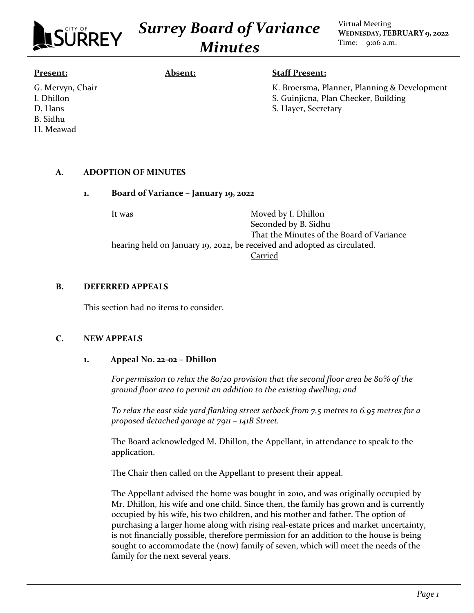

*Surrey Board of Variance Minutes*

Virtual Meeting **WEDNESDAY, FEBRUARY 9, 2022** Time: 9:06 a.m.

#### **Present:**

I. Dhillon D. Hans B. Sidhu H. Meawad

G. Mervyn, Chair

### **Absent: Staff Present:**

K. Broersma, Planner, Planning & Development S. Guinjicna, Plan Checker, Building S. Hayer, Secretary

## **A. ADOPTION OF MINUTES**

#### **1. Board of Variance – January 19, 2022**

It was Moved by I. Dhillon Seconded by B. Sidhu That the Minutes of the Board of Variance hearing held on January 19, 2022, be received and adopted as circulated. Carried

#### **B. DEFERRED APPEALS**

This section had no items to consider.

#### **C. NEW APPEALS**

#### **1. Appeal No. 22-02 – Dhillon**

*For permission to relax the 80/20 provision that the second floor area be 80% of the ground floor area to permit an addition to the existing dwelling; and*

*To relax the east side yard flanking street setback from 7.5 metres to 6.95 metres for a proposed detached garage at 7911 – 141B Street.*

The Board acknowledged M. Dhillon, the Appellant, in attendance to speak to the application.

The Chair then called on the Appellant to present their appeal.

The Appellant advised the home was bought in 2010, and was originally occupied by Mr. Dhillon, his wife and one child. Since then, the family has grown and is currently occupied by his wife, his two children, and his mother and father. The option of purchasing a larger home along with rising real-estate prices and market uncertainty, is not financially possible, therefore permission for an addition to the house is being sought to accommodate the (now) family of seven, which will meet the needs of the family for the next several years.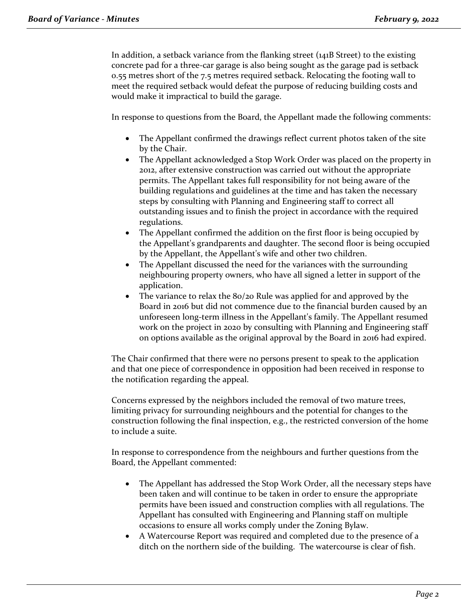In addition, a setback variance from the flanking street (141B Street) to the existing concrete pad for a three-car garage is also being sought as the garage pad is setback 0.55 metres short of the 7.5 metres required setback. Relocating the footing wall to meet the required setback would defeat the purpose of reducing building costs and would make it impractical to build the garage.

In response to questions from the Board, the Appellant made the following comments:

- The Appellant confirmed the drawings reflect current photos taken of the site by the Chair.
- The Appellant acknowledged a Stop Work Order was placed on the property in 2012, after extensive construction was carried out without the appropriate permits. The Appellant takes full responsibility for not being aware of the building regulations and guidelines at the time and has taken the necessary steps by consulting with Planning and Engineering staff to correct all outstanding issues and to finish the project in accordance with the required regulations.
- The Appellant confirmed the addition on the first floor is being occupied by the Appellant's grandparents and daughter. The second floor is being occupied by the Appellant, the Appellant's wife and other two children.
- The Appellant discussed the need for the variances with the surrounding neighbouring property owners, who have all signed a letter in support of the application.
- The variance to relax the 80/20 Rule was applied for and approved by the Board in 2016 but did not commence due to the financial burden caused by an unforeseen long-term illness in the Appellant's family. The Appellant resumed work on the project in 2020 by consulting with Planning and Engineering staff on options available as the original approval by the Board in 2016 had expired.

The Chair confirmed that there were no persons present to speak to the application and that one piece of correspondence in opposition had been received in response to the notification regarding the appeal.

Concerns expressed by the neighbors included the removal of two mature trees, limiting privacy for surrounding neighbours and the potential for changes to the construction following the final inspection, e.g., the restricted conversion of the home to include a suite.

In response to correspondence from the neighbours and further questions from the Board, the Appellant commented:

- The Appellant has addressed the Stop Work Order, all the necessary steps have been taken and will continue to be taken in order to ensure the appropriate permits have been issued and construction complies with all regulations. The Appellant has consulted with Engineering and Planning staff on multiple occasions to ensure all works comply under the Zoning Bylaw.
- A Watercourse Report was required and completed due to the presence of a ditch on the northern side of the building. The watercourse is clear of fish.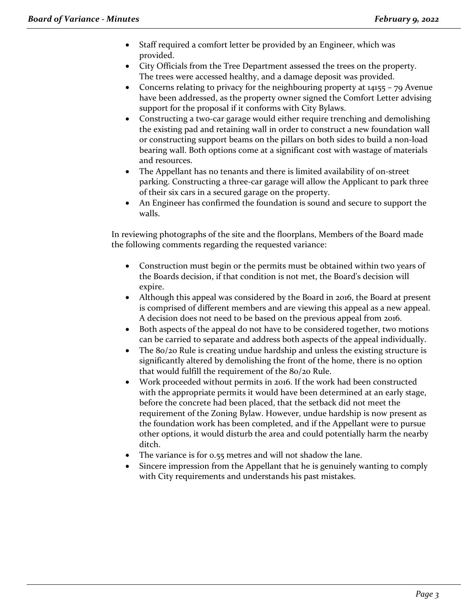- Staff required a comfort letter be provided by an Engineer, which was provided.
- City Officials from the Tree Department assessed the trees on the property. The trees were accessed healthy, and a damage deposit was provided.
- Concerns relating to privacy for the neighbouring property at 14155 79 Avenue have been addressed, as the property owner signed the Comfort Letter advising support for the proposal if it conforms with City Bylaws.
- Constructing a two-car garage would either require trenching and demolishing the existing pad and retaining wall in order to construct a new foundation wall or constructing support beams on the pillars on both sides to build a non-load bearing wall. Both options come at a significant cost with wastage of materials and resources.
- The Appellant has no tenants and there is limited availability of on-street parking. Constructing a three-car garage will allow the Applicant to park three of their six cars in a secured garage on the property.
- An Engineer has confirmed the foundation is sound and secure to support the walls.

In reviewing photographs of the site and the floorplans, Members of the Board made the following comments regarding the requested variance:

- Construction must begin or the permits must be obtained within two years of the Boards decision, if that condition is not met, the Board's decision will expire.
- Although this appeal was considered by the Board in 2016, the Board at present is comprised of different members and are viewing this appeal as a new appeal. A decision does not need to be based on the previous appeal from 2016.
- Both aspects of the appeal do not have to be considered together, two motions can be carried to separate and address both aspects of the appeal individually.
- The 80/20 Rule is creating undue hardship and unless the existing structure is significantly altered by demolishing the front of the home, there is no option that would fulfill the requirement of the 80/20 Rule.
- Work proceeded without permits in 2016. If the work had been constructed with the appropriate permits it would have been determined at an early stage, before the concrete had been placed, that the setback did not meet the requirement of the Zoning Bylaw. However, undue hardship is now present as the foundation work has been completed, and if the Appellant were to pursue other options, it would disturb the area and could potentially harm the nearby ditch.
- The variance is for 0.55 metres and will not shadow the lane.
- Sincere impression from the Appellant that he is genuinely wanting to comply with City requirements and understands his past mistakes.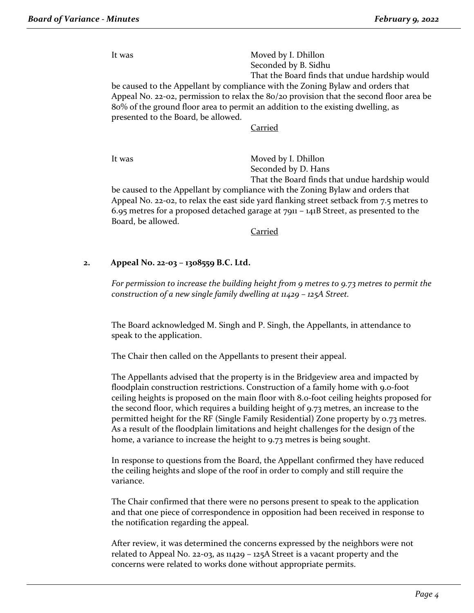It was Moved by I. Dhillon Seconded by B. Sidhu That the Board finds that undue hardship would be caused to the Appellant by compliance with the Zoning Bylaw and orders that Appeal No. 22-02, permission to relax the 80/20 provision that the second floor area be 80% of the ground floor area to permit an addition to the existing dwelling, as presented to the Board, be allowed.

Carried

It was Moved by I. Dhillon Seconded by D. Hans

That the Board finds that undue hardship would be caused to the Appellant by compliance with the Zoning Bylaw and orders that Appeal No. 22-02, to relax the east side yard flanking street setback from 7.5 metres to 6.95 metres for a proposed detached garage at  $7911 - 141B$  Street, as presented to the Board, be allowed.

Carried

## **2. Appeal No. 22-03 – 1308559 B.C. Ltd.**

*For permission to increase the building height from 9 metres to 9.73 metres to permit the construction of a new single family dwelling at 11429 – 125A Street.*

The Board acknowledged M. Singh and P. Singh, the Appellants, in attendance to speak to the application.

The Chair then called on the Appellants to present their appeal.

The Appellants advised that the property is in the Bridgeview area and impacted by floodplain construction restrictions. Construction of a family home with 9.0-foot ceiling heights is proposed on the main floor with 8.0-foot ceiling heights proposed for the second floor, which requires a building height of 9.73 metres, an increase to the permitted height for the RF (Single Family Residential) Zone property by 0.73 metres. As a result of the floodplain limitations and height challenges for the design of the home, a variance to increase the height to 9.73 metres is being sought.

In response to questions from the Board, the Appellant confirmed they have reduced the ceiling heights and slope of the roof in order to comply and still require the variance.

The Chair confirmed that there were no persons present to speak to the application and that one piece of correspondence in opposition had been received in response to the notification regarding the appeal.

After review, it was determined the concerns expressed by the neighbors were not related to Appeal No. 22-03, as 11429 – 125A Street is a vacant property and the concerns were related to works done without appropriate permits.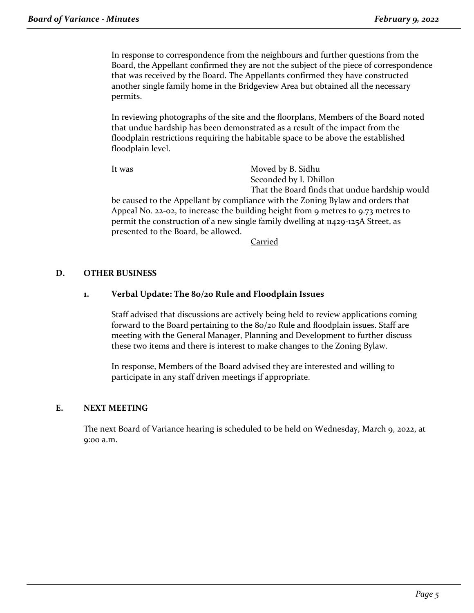In response to correspondence from the neighbours and further questions from the Board, the Appellant confirmed they are not the subject of the piece of correspondence that was received by the Board. The Appellants confirmed they have constructed another single family home in the Bridgeview Area but obtained all the necessary permits.

In reviewing photographs of the site and the floorplans, Members of the Board noted that undue hardship has been demonstrated as a result of the impact from the floodplain restrictions requiring the habitable space to be above the established floodplain level.

It was Moved by B. Sidhu Seconded by I. Dhillon That the Board finds that undue hardship would be caused to the Appellant by compliance with the Zoning Bylaw and orders that Appeal No. 22-02, to increase the building height from 9 metres to 9.73 metres to permit the construction of a new single family dwelling at 11429-125A Street, as presented to the Board, be allowed.

**Carried** 

### **D. OTHER BUSINESS**

### **1. Verbal Update: The 80/20 Rule and Floodplain Issues**

Staff advised that discussions are actively being held to review applications coming forward to the Board pertaining to the 80/20 Rule and floodplain issues. Staff are meeting with the General Manager, Planning and Development to further discuss these two items and there is interest to make changes to the Zoning Bylaw.

In response, Members of the Board advised they are interested and willing to participate in any staff driven meetings if appropriate.

#### **E. NEXT MEETING**

The next Board of Variance hearing is scheduled to be held on Wednesday, March 9, 2022, at 9:00 a.m.